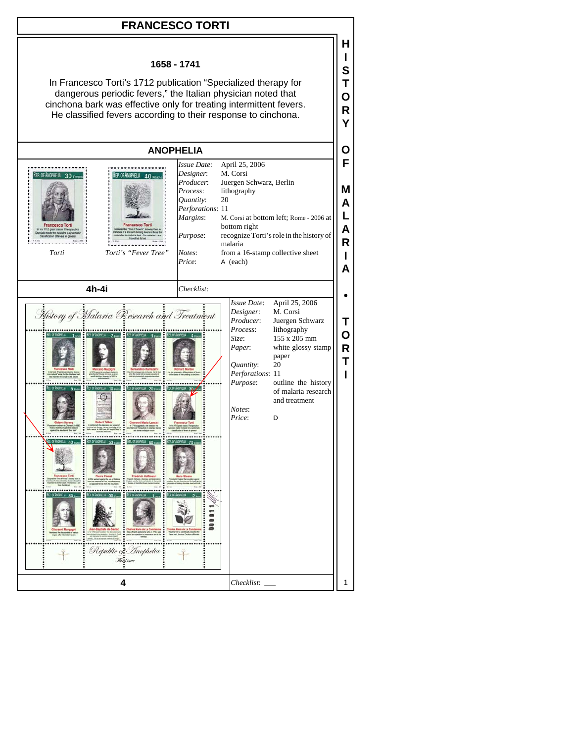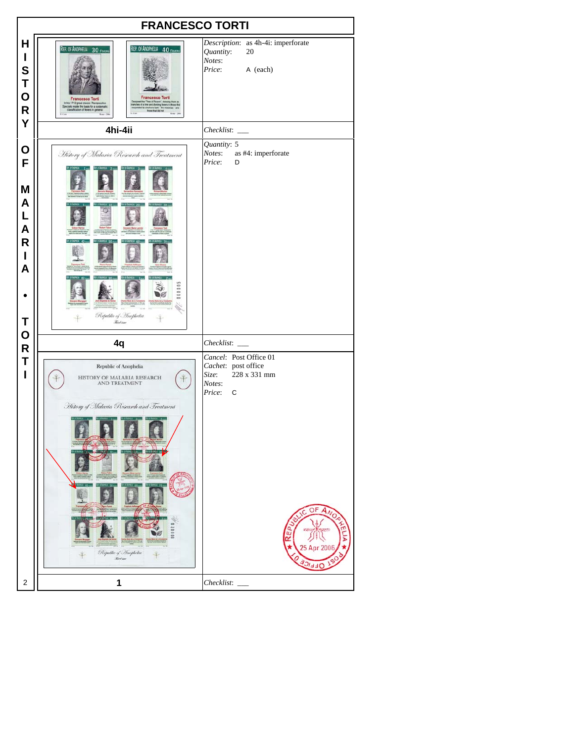| <b>FRANCESCO TORTI</b>                               |                                                                                                                                                                                                                                                                                                     |                                                                                                                                      |
|------------------------------------------------------|-----------------------------------------------------------------------------------------------------------------------------------------------------------------------------------------------------------------------------------------------------------------------------------------------------|--------------------------------------------------------------------------------------------------------------------------------------|
| Н<br>I<br>S<br>Τ<br>$\mathbf O$<br>${\sf R}$         | REP. OF ANOPHELIA 40 Fevers<br>REP. OF ANOPHELIA 30 FEVERS<br><b>Francesco Torti</b><br><b>Francesco Torti</b><br>d the "Tree of Fevers", sho<br>of a tree and dividing fever<br>In his 1712 great classic Therapeut<br>Specials made the basis for a system<br>classification of tevers in general | Description: as 4h-4i: imperforate<br>Quantity:<br>20<br>Notes:<br>Price:<br>A (each)                                                |
| Y                                                    | 4hi-4ii                                                                                                                                                                                                                                                                                             | Checklist:                                                                                                                           |
| O<br>F<br>M<br>A<br>L<br>A<br>$\mathsf{R}$<br>I<br>A | History of Malaria Research and Treatment<br>000000<br>Republic of Anophetia                                                                                                                                                                                                                        | Quantity: 5<br>Notes:<br>as #4: imperforate<br>Price:<br>D                                                                           |
| T<br>$\mathbf O$                                     | <b>Red iner</b>                                                                                                                                                                                                                                                                                     |                                                                                                                                      |
| $\mathsf{R}$                                         | 4q                                                                                                                                                                                                                                                                                                  | Checklist:                                                                                                                           |
| Τ<br>I                                               | Republic of Anophelia<br>HISTORY OF MALARIA RESEARCH<br><b>AND TREATMENT</b><br>History of Malaria Research and Treatment<br>Republic of Anopholia<br>Kerken                                                                                                                                        | Cancel: Post Office 01<br>Cachet: post office<br>228 x 331 mm<br>Size:<br>Notes:<br>Price:<br>C<br>OF<br>5 Apr 2006<br>$\frac{1}{2}$ |
| 2                                                    | 1                                                                                                                                                                                                                                                                                                   | Checklist:                                                                                                                           |
|                                                      |                                                                                                                                                                                                                                                                                                     |                                                                                                                                      |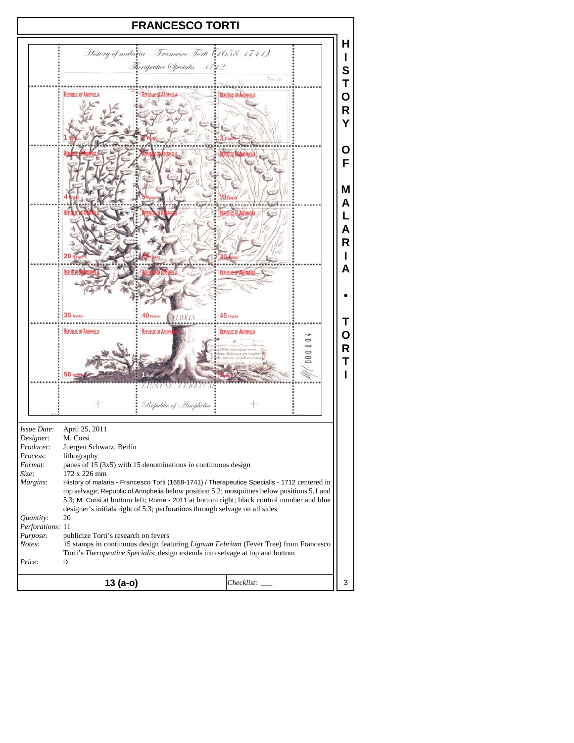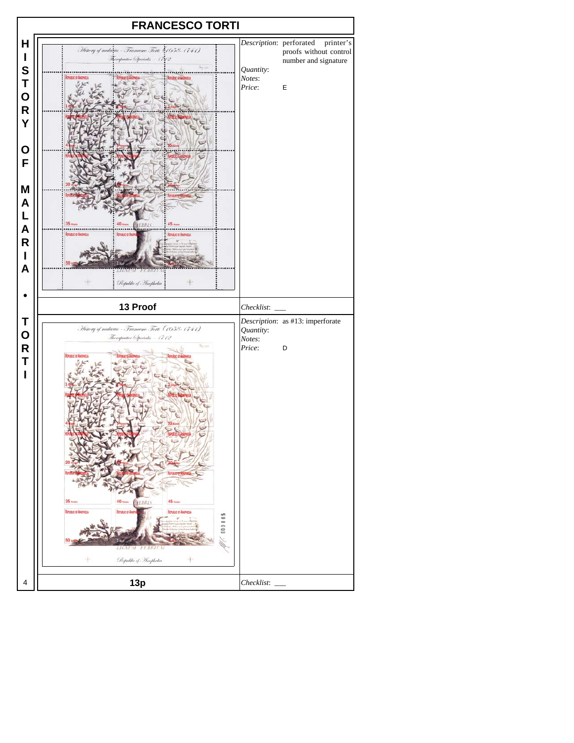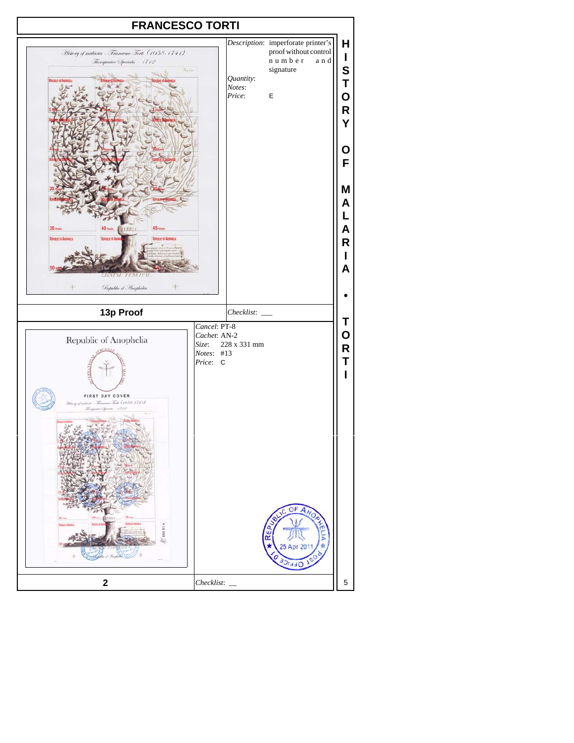